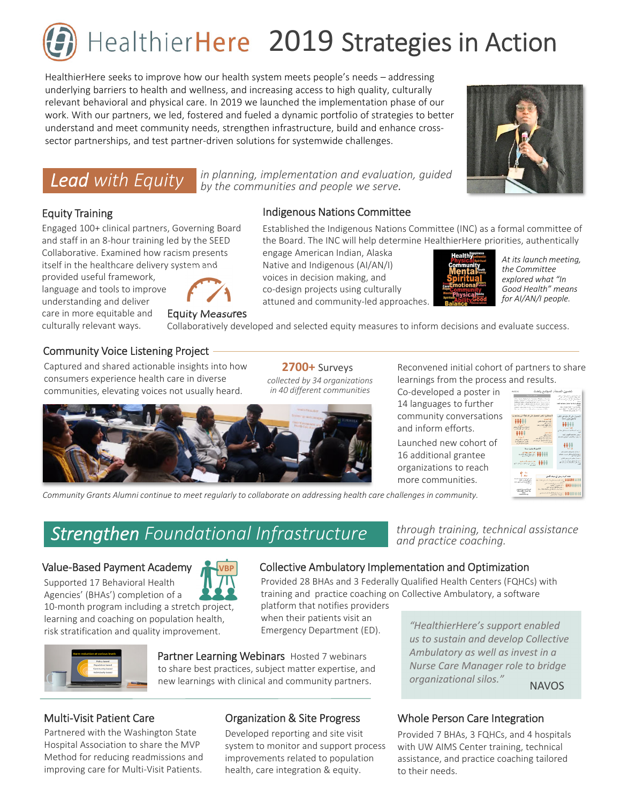# HealthierHere 2019 Strategies in Action

HealthierHere seeks to improve how our health system meets people's needs – addressing underlying barriers to health and wellness, and increasing access to high quality, culturally relevant behavioral and physical care. In 2019 we launched the implementation phase of our work. With our partners, we led, fostered and fueled a dynamic portfolio of strategies to better understand and meet community needs, strengthen infrastructure, build and enhance cross‐ sector partnerships, and test partner-driven solutions for systemwide challenges.

**Lead** with Equity  $\frac{1}{b}$  by the communities and people we serve.

Indigenous Nations Committee

engage American Indian, Alaska Native and Indigenous (AI/AN/I) voices in decision making, and

### Equity Training

culturally relevant ways.

Engaged 100+ clinical partners, Governing Board and staff in an 8‐hour training led by the SEED Collaborative. Examined how racism presents itself in the healthcare delivery system and





Equity Measures

co‐design projects using culturally attuned and community‐led approaches. *Good Health" means for AI/AN/I people.*

Established the Indigenous Nations Committee (INC) as a formal committee of the Board. The INC will help determine HealthierHere priorities, authentically

Collaboratively developed and selected equity measures to inform decisions and evaluate success.

### Community Voice Listening Project

Captured and shared actionable insights into how consumers experience health care in diverse communities, elevating voices not usually heard.

**2700+** Surveys *collected by 34 organizations in 40 different communities*



**38** learnings from the process and results. Reconvened initial cohort of partners to share

Co‐developed a poster in 14 languages to further **the state of the set of the state of the state of the state of the state of the state** community conversations and inform efforts.

Launched new cohort of 16 additional grantee organizations to reach more communities.



Community Grants Alumni continue to meet regularly to collaborate on addressing health care challenges in community.

### *and practice coaching. Strengthen Foundational Infrastructure*

### Value‐Based Payment Academy

Supported 17 Behavioral Health Agencies' (BHAs') completion of a 10-month program including a stretch project, learning and coaching on population health, risk stratification and quality improvement.





Provided 28 BHAs and 3 Federally Qualified Health Centers (FQHCs) with training and practice coaching on Collective Ambulatory, a software

platform that notifies providers when their patients visit an Emergency Department (ED).

Partner Learning Webinars Hosted 7 webinars to share best practices, subject matter expertise, and new learnings with clinical and community partners.

### Multi‐Visit Patient Care

Partnered with the Washington State Hospital Association to share the MVP Method for reducing readmissions and improving care for Multi‐Visit Patients.

### Organization & Site Progress

Developed reporting and site visit system to monitor and support process improvements related to population health, care integration & equity.

*"HealthierHere's support enabled us to sustain and develop Collective Ambulatory as well as invest in a Nurse Care Manager role to bridge*

*through training, technical assistance*

**NAVOS** 

### Whole Person Care Integration

*organizational silos."* 

Provided 7 BHAs, 3 FQHCs, and 4 hospitals with UW AIMS Center training, technical assistance, and practice coaching tailored to their needs.



*At its launch meeting, the Committee explored what "In*